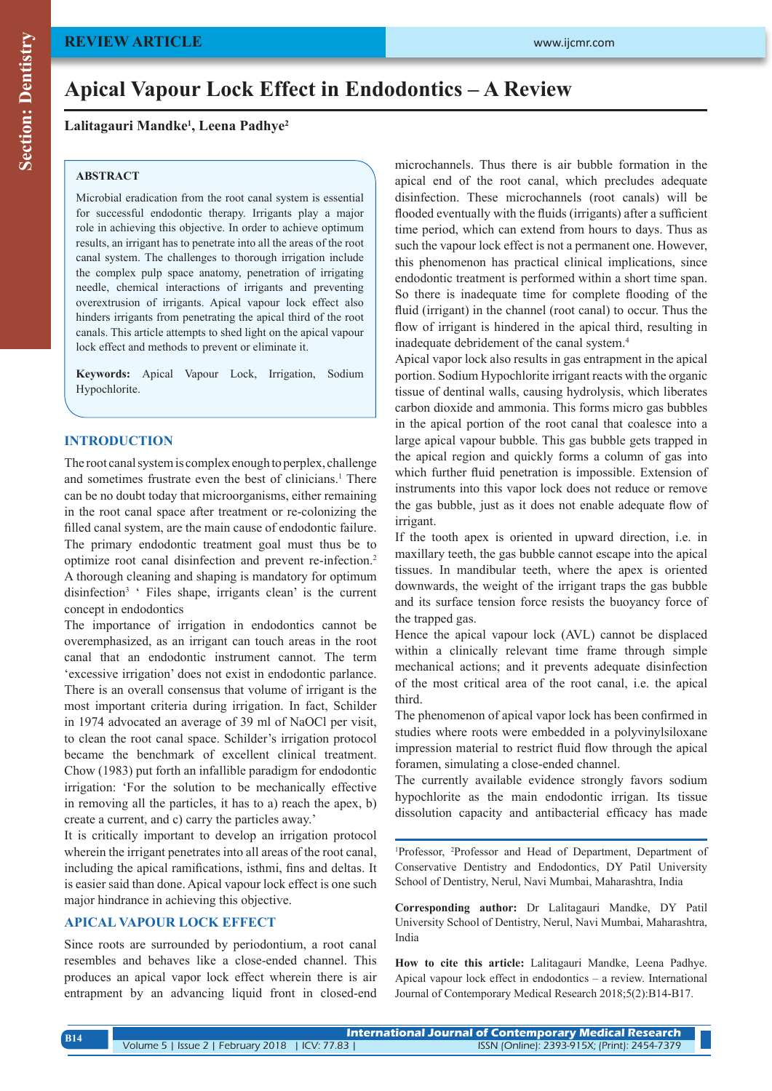# **Apical Vapour Lock Effect in Endodontics – A Review**

**Lalitagauri Mandke1 , Leena Padhye2**

#### **ABSTRACT**

Microbial eradication from the root canal system is essential for successful endodontic therapy. Irrigants play a major role in achieving this objective. In order to achieve optimum results, an irrigant has to penetrate into all the areas of the root canal system. The challenges to thorough irrigation include the complex pulp space anatomy, penetration of irrigating needle, chemical interactions of irrigants and preventing overextrusion of irrigants. Apical vapour lock effect also hinders irrigants from penetrating the apical third of the root canals. This article attempts to shed light on the apical vapour lock effect and methods to prevent or eliminate it.

**Keywords:** Apical Vapour Lock, Irrigation, Sodium Hypochlorite.

## **INTRODUCTION**

The root canal system is complex enough to perplex, challenge and sometimes frustrate even the best of clinicians.<sup>1</sup> There can be no doubt today that microorganisms, either remaining in the root canal space after treatment or re-colonizing the filled canal system, are the main cause of endodontic failure. The primary endodontic treatment goal must thus be to optimize root canal disinfection and prevent re-infection.2 A thorough cleaning and shaping is mandatory for optimum disinfection<sup>3</sup> ' Files shape, irrigants clean' is the current concept in endodontics

The importance of irrigation in endodontics cannot be overemphasized, as an irrigant can touch areas in the root canal that an endodontic instrument cannot. The term 'excessive irrigation' does not exist in endodontic parlance. There is an overall consensus that volume of irrigant is the most important criteria during irrigation. In fact, Schilder in 1974 advocated an average of 39 ml of NaOCl per visit, to clean the root canal space. Schilder's irrigation protocol became the benchmark of excellent clinical treatment. Chow (1983) put forth an infallible paradigm for endodontic irrigation: 'For the solution to be mechanically effective in removing all the particles, it has to a) reach the apex, b) create a current, and c) carry the particles away.'

It is critically important to develop an irrigation protocol wherein the irrigant penetrates into all areas of the root canal, including the apical ramifications, isthmi, fins and deltas. It is easier said than done. Apical vapour lock effect is one such major hindrance in achieving this objective.

### **APICAL VAPOUR LOCK EFFECT**

Since roots are surrounded by periodontium, a root canal resembles and behaves like a close-ended channel. This produces an apical vapor lock effect wherein there is air entrapment by an advancing liquid front in closed-end microchannels. Thus there is air bubble formation in the apical end of the root canal, which precludes adequate disinfection. These microchannels (root canals) will be flooded eventually with the fluids (irrigants) after a sufficient time period, which can extend from hours to days. Thus as such the vapour lock effect is not a permanent one. However, this phenomenon has practical clinical implications, since endodontic treatment is performed within a short time span. So there is inadequate time for complete flooding of the fluid (irrigant) in the channel (root canal) to occur. Thus the flow of irrigant is hindered in the apical third, resulting in inadequate debridement of the canal system.4

Apical vapor lock also results in gas entrapment in the apical portion. Sodium Hypochlorite irrigant reacts with the organic tissue of dentinal walls, causing hydrolysis, which liberates carbon dioxide and ammonia. This forms micro gas bubbles in the apical portion of the root canal that coalesce into a large apical vapour bubble. This gas bubble gets trapped in the apical region and quickly forms a column of gas into which further fluid penetration is impossible. Extension of instruments into this vapor lock does not reduce or remove the gas bubble, just as it does not enable adequate flow of irrigant.

If the tooth apex is oriented in upward direction, i.e. in maxillary teeth, the gas bubble cannot escape into the apical tissues. In mandibular teeth, where the apex is oriented downwards, the weight of the irrigant traps the gas bubble and its surface tension force resists the buoyancy force of the trapped gas.

Hence the apical vapour lock (AVL) cannot be displaced within a clinically relevant time frame through simple mechanical actions; and it prevents adequate disinfection of the most critical area of the root canal, i.e. the apical third.

The phenomenon of apical vapor lock has been confirmed in studies where roots were embedded in a polyvinylsiloxane impression material to restrict fluid flow through the apical foramen, simulating a close-ended channel.

The currently available evidence strongly favors sodium hypochlorite as the main endodontic irrigan. Its tissue dissolution capacity and antibacterial efficacy has made

1 Professor, 2 Professor and Head of Department, Department of Conservative Dentistry and Endodontics, DY Patil University School of Dentistry, Nerul, Navi Mumbai, Maharashtra, India

**Corresponding author:** Dr Lalitagauri Mandke, DY Patil University School of Dentistry, Nerul, Navi Mumbai, Maharashtra, India

**How to cite this article:** Lalitagauri Mandke, Leena Padhye. Apical vapour lock effect in endodontics – a review. International Journal of Contemporary Medical Research 2018;5(2):B14-B17.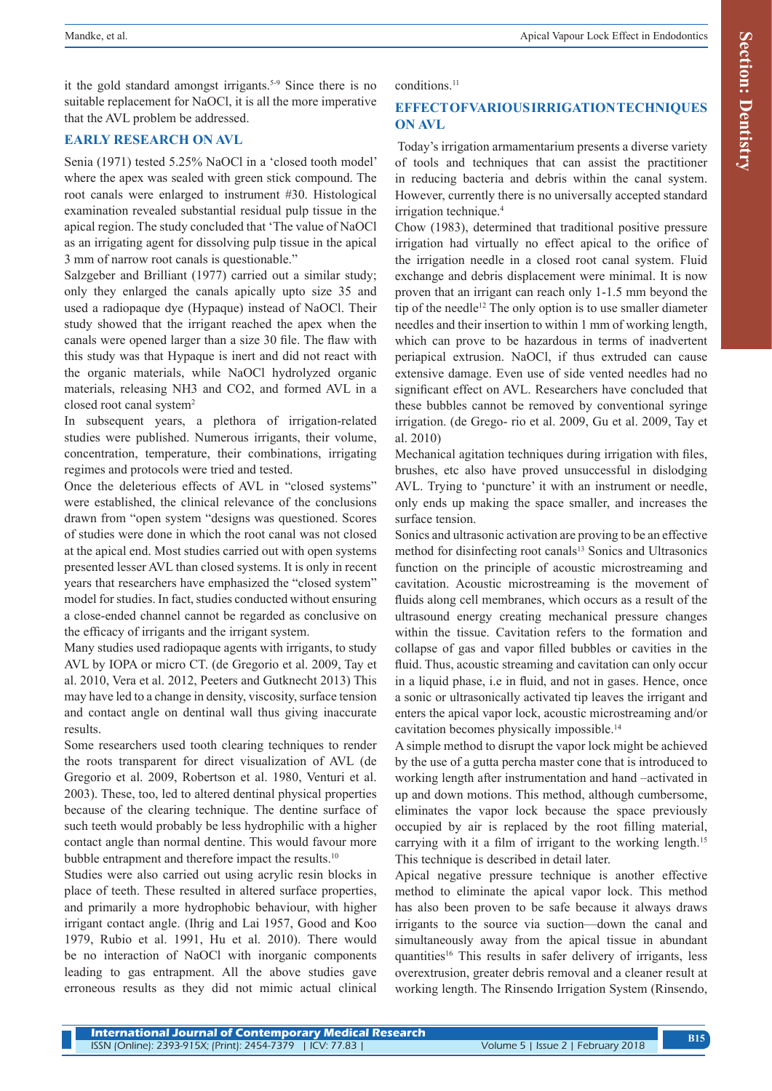it the gold standard amongst irrigants.<sup>5-9</sup> Since there is no suitable replacement for NaOCl, it is all the more imperative that the AVL problem be addressed.

# **EARLY RESEARCH ON AVL**

Senia (1971) tested 5.25% NaOCl in a 'closed tooth model' where the apex was sealed with green stick compound. The root canals were enlarged to instrument #30. Histological examination revealed substantial residual pulp tissue in the apical region. The study concluded that 'The value of NaOCl as an irrigating agent for dissolving pulp tissue in the apical 3 mm of narrow root canals is questionable."

Salzgeber and Brilliant (1977) carried out a similar study; only they enlarged the canals apically upto size 35 and used a radiopaque dye (Hypaque) instead of NaOCl. Their study showed that the irrigant reached the apex when the canals were opened larger than a size 30 file. The flaw with this study was that Hypaque is inert and did not react with the organic materials, while NaOCl hydrolyzed organic materials, releasing NH3 and CO2, and formed AVL in a closed root canal system<sup>2</sup>

In subsequent years, a plethora of irrigation-related studies were published. Numerous irrigants, their volume, concentration, temperature, their combinations, irrigating regimes and protocols were tried and tested.

Once the deleterious effects of AVL in "closed systems" were established, the clinical relevance of the conclusions drawn from "open system "designs was questioned. Scores of studies were done in which the root canal was not closed at the apical end. Most studies carried out with open systems presented lesser AVL than closed systems. It is only in recent years that researchers have emphasized the "closed system" model for studies. In fact, studies conducted without ensuring a close-ended channel cannot be regarded as conclusive on the efficacy of irrigants and the irrigant system.

Many studies used radiopaque agents with irrigants, to study AVL by IOPA or micro CT. (de Gregorio et al. 2009, Tay et al. 2010, Vera et al. 2012, Peeters and Gutknecht 2013) This may have led to a change in density, viscosity, surface tension and contact angle on dentinal wall thus giving inaccurate results.

Some researchers used tooth clearing techniques to render the roots transparent for direct visualization of AVL (de Gregorio et al. 2009, Robertson et al. 1980, Venturi et al. 2003). These, too, led to altered dentinal physical properties because of the clearing technique. The dentine surface of such teeth would probably be less hydrophilic with a higher contact angle than normal dentine. This would favour more bubble entrapment and therefore impact the results.<sup>10</sup>

Studies were also carried out using acrylic resin blocks in place of teeth. These resulted in altered surface properties, and primarily a more hydrophobic behaviour, with higher irrigant contact angle. (Ihrig and Lai 1957, Good and Koo 1979, Rubio et al. 1991, Hu et al. 2010). There would be no interaction of NaOCl with inorganic components leading to gas entrapment. All the above studies gave erroneous results as they did not mimic actual clinical conditions<sup>11</sup>

# **EFFECT OF VARIOUS IRRIGATION TECHNIQUES ON AVL**

 Today's irrigation armamentarium presents a diverse variety of tools and techniques that can assist the practitioner in reducing bacteria and debris within the canal system. However, currently there is no universally accepted standard irrigation technique.4

Chow (1983), determined that traditional positive pressure irrigation had virtually no effect apical to the orifice of the irrigation needle in a closed root canal system. Fluid exchange and debris displacement were minimal. It is now proven that an irrigant can reach only 1-1.5 mm beyond the tip of the needle<sup>12</sup> The only option is to use smaller diameter needles and their insertion to within 1 mm of working length, which can prove to be hazardous in terms of inadvertent periapical extrusion. NaOCl, if thus extruded can cause extensive damage. Even use of side vented needles had no significant effect on AVL. Researchers have concluded that these bubbles cannot be removed by conventional syringe irrigation. (de Grego- rio et al. 2009, Gu et al. 2009, Tay et al. 2010)

Mechanical agitation techniques during irrigation with files, brushes, etc also have proved unsuccessful in dislodging AVL. Trying to 'puncture' it with an instrument or needle, only ends up making the space smaller, and increases the surface tension.

Sonics and ultrasonic activation are proving to be an effective method for disinfecting root canals<sup>13</sup> Sonics and Ultrasonics function on the principle of acoustic microstreaming and cavitation. Acoustic microstreaming is the movement of fluids along cell membranes, which occurs as a result of the ultrasound energy creating mechanical pressure changes within the tissue. Cavitation refers to the formation and collapse of gas and vapor filled bubbles or cavities in the fluid. Thus, acoustic streaming and cavitation can only occur in a liquid phase, i.e in fluid, and not in gases. Hence, once a sonic or ultrasonically activated tip leaves the irrigant and enters the apical vapor lock, acoustic microstreaming and/or cavitation becomes physically impossible.14

A simple method to disrupt the vapor lock might be achieved by the use of a gutta percha master cone that is introduced to working length after instrumentation and hand –activated in up and down motions. This method, although cumbersome, eliminates the vapor lock because the space previously occupied by air is replaced by the root filling material, carrying with it a film of irrigant to the working length.<sup>15</sup> This technique is described in detail later.

Apical negative pressure technique is another effective method to eliminate the apical vapor lock. This method has also been proven to be safe because it always draws irrigants to the source via suction—down the canal and simultaneously away from the apical tissue in abundant quantities16 This results in safer delivery of irrigants, less overextrusion, greater debris removal and a cleaner result at working length. The Rinsendo Irrigation System (Rinsendo,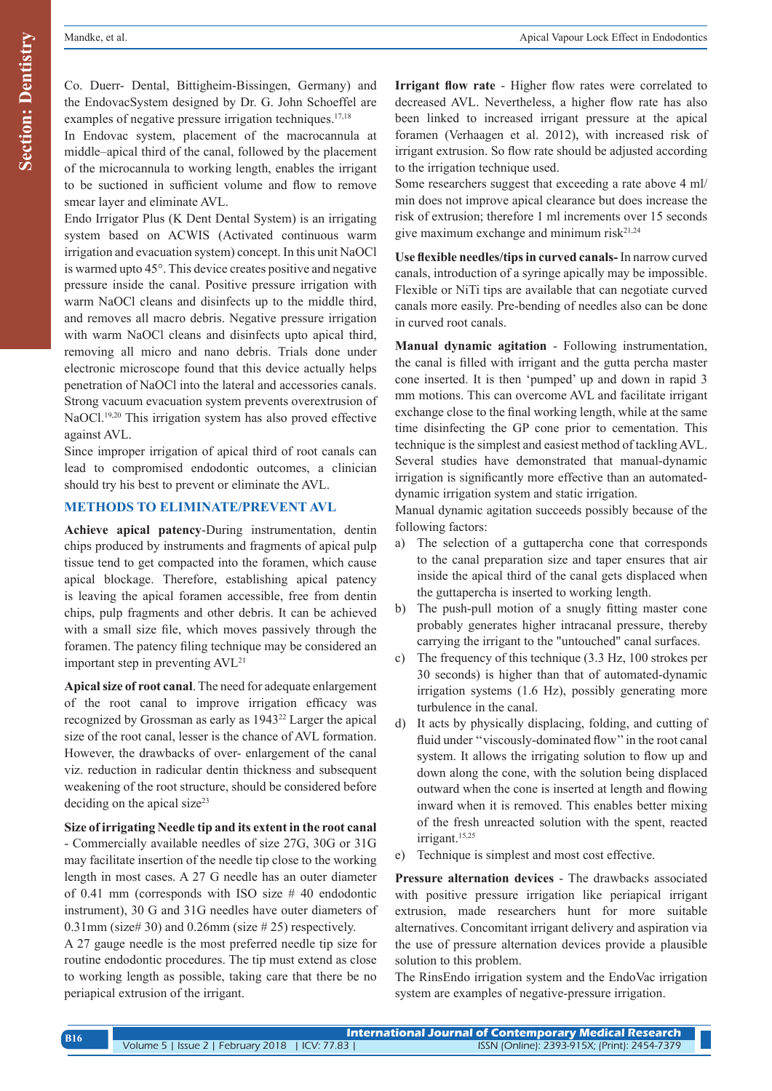Co. Duerr- Dental, Bittigheim-Bissingen, Germany) and the EndovacSystem designed by Dr. G. John Schoeffel are examples of negative pressure irrigation techniques.<sup>17,18</sup>

In Endovac system, placement of the macrocannula at middle–apical third of the canal, followed by the placement of the microcannula to working length, enables the irrigant to be suctioned in sufficient volume and flow to remove smear layer and eliminate AVL.

Endo Irrigator Plus (K Dent Dental System) is an irrigating system based on ACWIS (Activated continuous warm irrigation and evacuation system) concept. In this unit NaOCl is warmed upto 45°. This device creates positive and negative pressure inside the canal. Positive pressure irrigation with warm NaOCl cleans and disinfects up to the middle third, and removes all macro debris. Negative pressure irrigation with warm NaOCl cleans and disinfects upto apical third, removing all micro and nano debris. Trials done under electronic microscope found that this device actually helps penetration of NaOCl into the lateral and accessories canals. Strong vacuum evacuation system prevents overextrusion of NaOCl.<sup>19,20</sup> This irrigation system has also proved effective against AVL.

Since improper irrigation of apical third of root canals can lead to compromised endodontic outcomes, a clinician should try his best to prevent or eliminate the AVL.

### **METHODS TO ELIMINATE/PREVENT AVL**

**Achieve apical patency**-During instrumentation, dentin chips produced by instruments and fragments of apical pulp tissue tend to get compacted into the foramen, which cause apical blockage. Therefore, establishing apical patency is leaving the apical foramen accessible, free from dentin chips, pulp fragments and other debris. It can be achieved with a small size file, which moves passively through the foramen. The patency filing technique may be considered an important step in preventing AVL<sup>21</sup>

**Apical size of root canal**. The need for adequate enlargement of the root canal to improve irrigation efficacy was recognized by Grossman as early as 194322 Larger the apical size of the root canal, lesser is the chance of AVL formation. However, the drawbacks of over- enlargement of the canal viz. reduction in radicular dentin thickness and subsequent weakening of the root structure, should be considered before deciding on the apical size $23$ 

### **Size of irrigating Needle tip and its extent in the root canal**

- Commercially available needles of size 27G, 30G or 31G may facilitate insertion of the needle tip close to the working length in most cases. A 27 G needle has an outer diameter of 0.41 mm (corresponds with ISO size  $#$  40 endodontic instrument), 30 G and 31G needles have outer diameters of  $0.31$ mm (size# 30) and  $0.26$ mm (size # 25) respectively.

A 27 gauge needle is the most preferred needle tip size for routine endodontic procedures. The tip must extend as close to working length as possible, taking care that there be no periapical extrusion of the irrigant.

**Irrigant flow rate** - Higher flow rates were correlated to decreased AVL. Nevertheless, a higher flow rate has also been linked to increased irrigant pressure at the apical foramen (Verhaagen et al. 2012), with increased risk of irrigant extrusion. So flow rate should be adjusted according to the irrigation technique used.

Some researchers suggest that exceeding a rate above 4 ml/ min does not improve apical clearance but does increase the risk of extrusion; therefore 1 ml increments over 15 seconds give maximum exchange and minimum risk $2^{1,24}$ 

**Use flexible needles/tips in curved canals-** In narrow curved canals, introduction of a syringe apically may be impossible. Flexible or NiTi tips are available that can negotiate curved canals more easily. Pre-bending of needles also can be done in curved root canals.

**Manual dynamic agitation** - Following instrumentation, the canal is filled with irrigant and the gutta percha master cone inserted. It is then 'pumped' up and down in rapid 3 mm motions. This can overcome AVL and facilitate irrigant exchange close to the final working length, while at the same time disinfecting the GP cone prior to cementation. This technique is the simplest and easiest method of tackling AVL. Several studies have demonstrated that manual-dynamic irrigation is significantly more effective than an automateddynamic irrigation system and static irrigation.

Manual dynamic agitation succeeds possibly because of the following factors:

- a) The selection of a guttapercha cone that corresponds to the canal preparation size and taper ensures that air inside the apical third of the canal gets displaced when the guttapercha is inserted to working length.
- b) The push-pull motion of a snugly fitting master cone probably generates higher intracanal pressure, thereby carrying the irrigant to the "untouched" canal surfaces.
- c) The frequency of this technique (3.3 Hz, 100 strokes per 30 seconds) is higher than that of automated-dynamic irrigation systems (1.6 Hz), possibly generating more turbulence in the canal.
- d) It acts by physically displacing, folding, and cutting of fluid under "viscously-dominated flow" in the root canal system. It allows the irrigating solution to flow up and down along the cone, with the solution being displaced outward when the cone is inserted at length and flowing inward when it is removed. This enables better mixing of the fresh unreacted solution with the spent, reacted irrigant.<sup>15,25</sup>
- e) Technique is simplest and most cost effective.

**Pressure alternation devices** - The drawbacks associated with positive pressure irrigation like periapical irrigant extrusion, made researchers hunt for more suitable alternatives. Concomitant irrigant delivery and aspiration via the use of pressure alternation devices provide a plausible solution to this problem.

The RinsEndo irrigation system and the EndoVac irrigation system are examples of negative-pressure irrigation.